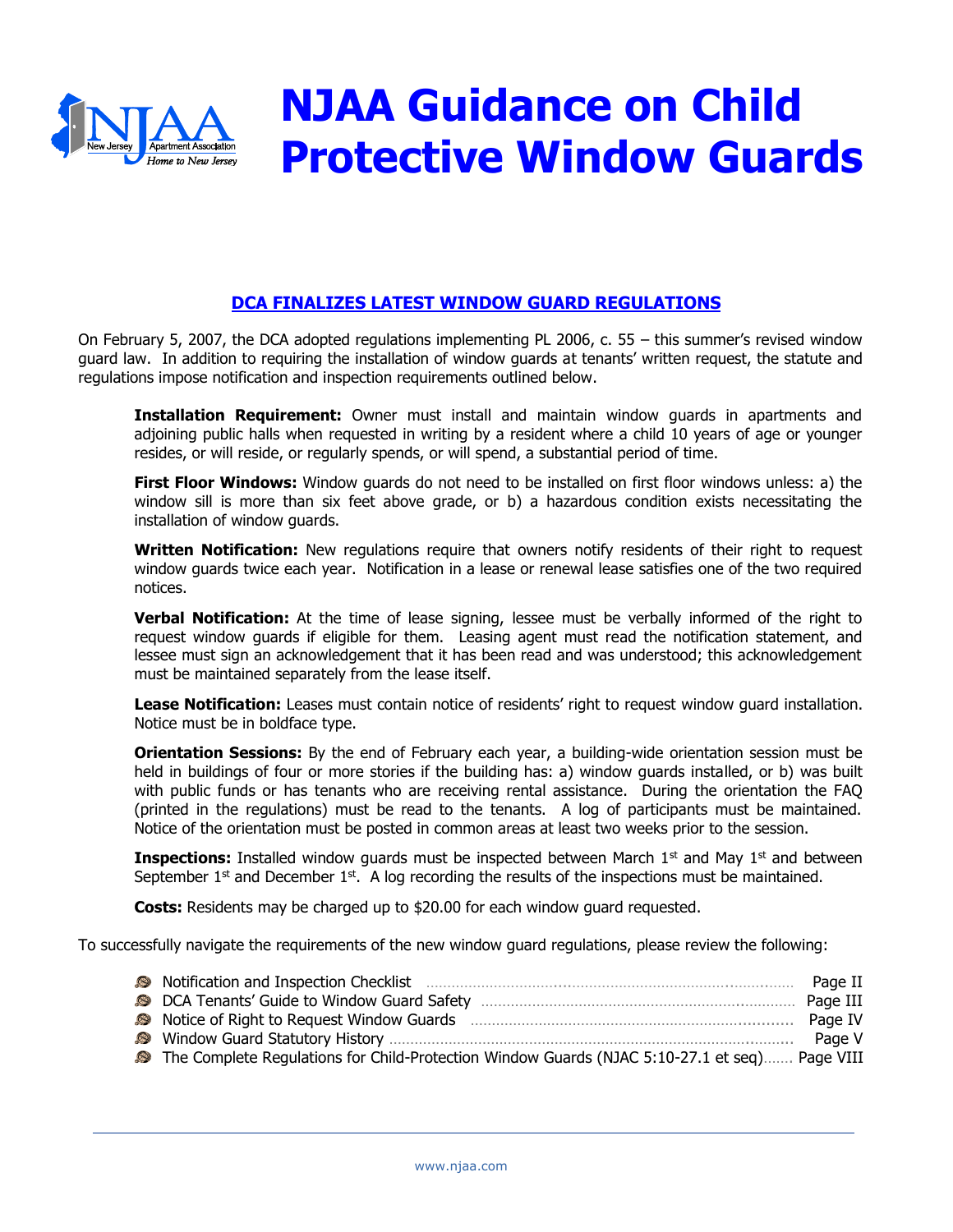

# **NJAA Guidance on Child Protective Window Guards**

# **DCA FINALIZES LATEST WINDOW GUARD REGULATIONS**

On February 5, 2007, the DCA adopted regulations implementing PL 2006, c. 55 – this summer's revised window guard law. In addition to requiring the installation of window guards at tenants' written request, the statute and regulations impose notification and inspection requirements outlined below.

**Installation Requirement:** Owner must install and maintain window guards in apartments and adjoining public halls when requested in writing by a resident where a child 10 years of age or younger resides, or will reside, or regularly spends, or will spend, a substantial period of time.

**First Floor Windows:** Window guards do not need to be installed on first floor windows unless: a) the window sill is more than six feet above grade, or b) a hazardous condition exists necessitating the installation of window guards.

**Written Notification:** New regulations require that owners notify residents of their right to request window guards twice each year. Notification in a lease or renewal lease satisfies one of the two required notices.

**Verbal Notification:** At the time of lease signing, lessee must be verbally informed of the right to request window guards if eligible for them. Leasing agent must read the notification statement, and lessee must sign an acknowledgement that it has been read and was understood; this acknowledgement must be maintained separately from the lease itself.

**Lease Notification:** Leases must contain notice of residents' right to request window guard installation. Notice must be in boldface type.

**Orientation Sessions:** By the end of February each year, a building-wide orientation session must be held in buildings of four or more stories if the building has: a) window quards installed, or b) was built with public funds or has tenants who are receiving rental assistance. During the orientation the FAQ (printed in the regulations) must be read to the tenants. A log of participants must be maintained. Notice of the orientation must be posted in common areas at least two weeks prior to the session.

**Inspections:** Installed window guards must be inspected between March 1<sup>st</sup> and May 1<sup>st</sup> and between September  $1<sup>st</sup>$  and December  $1<sup>st</sup>$ . A log recording the results of the inspections must be maintained.

**Costs:** Residents may be charged up to \$20.00 for each window guard requested.

To successfully navigate the requirements of the new window guard regulations, please review the following:

| Notification and Inspection Checklist manufactured and resolution of the Raqe II              |  |
|-----------------------------------------------------------------------------------------------|--|
|                                                                                               |  |
|                                                                                               |  |
|                                                                                               |  |
| The Complete Regulations for Child-Protection Window Guards (NJAC 5:10-27.1 et seq) Page VIII |  |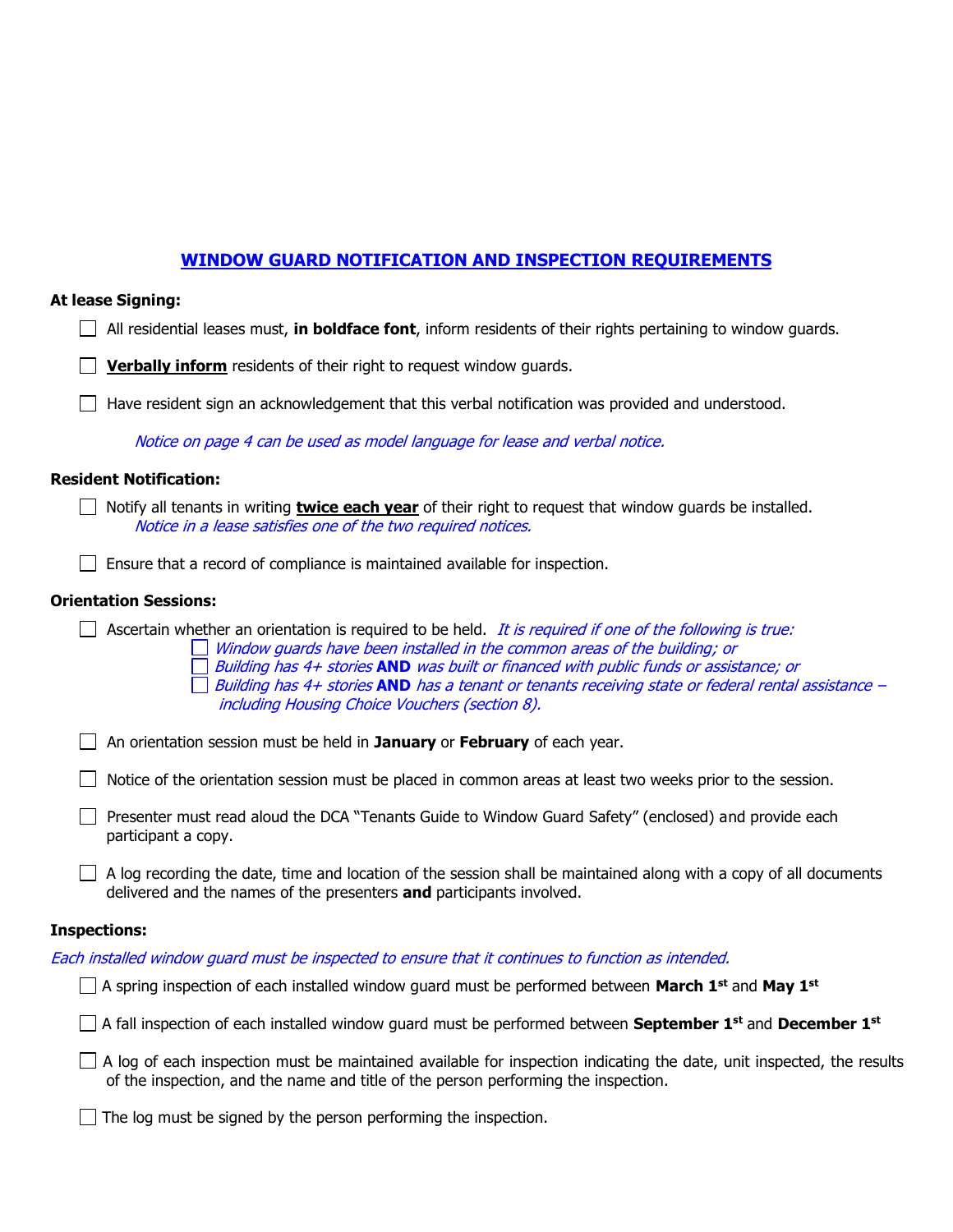# **WINDOW GUARD NOTIFICATION AND INSPECTION REQUIREMENTS**

#### **At lease Signing:**

| $\Box$ All residential leases must, in boldface font, inform residents of their rights pertaining to window guards |  |  |  |
|--------------------------------------------------------------------------------------------------------------------|--|--|--|
|--------------------------------------------------------------------------------------------------------------------|--|--|--|

**Verbally inform** residents of their right to request window quards.

 $\Box$  Have resident sign an acknowledgement that this verbal notification was provided and understood.

Notice on page 4 can be used as model language for lease and verbal notice.

## **Resident Notification:**

 $\Box$ 

| Notify all tenants in writing <b>twice each year</b> of their right to request that window guards be installed. |
|-----------------------------------------------------------------------------------------------------------------|
| Notice in a lease satisfies one of the two required notices.                                                    |

 $\Box$  Ensure that a record of compliance is maintained available for inspection.

#### **Orientation Sessions:**

Ascertain whether an orientation is required to be held. It is required if one of the following is true:  $\Box$  Window guards have been installed in the common areas of the building; or Building has 4+ stories **AND** was built or financed with public funds or assistance; or ■ Building has 4+ stories **AND** has a tenant or tenants receiving state or federal rental assistance – including Housing Choice Vouchers (section 8).

An orientation session must be held in **January** or **February** of each year.

 $\Box$  Notice of the orientation session must be placed in common areas at least two weeks prior to the session.

Presenter must read aloud the DCA "Tenants Guide to Window Guard Safety" (enclosed) and provide each participant a copy.

 $\Box$  A log recording the date, time and location of the session shall be maintained along with a copy of all documents delivered and the names of the presenters **and** participants involved.

#### **Inspections:**

|  | Each installed window guard must be inspected to ensure that it continues to function as intended. |
|--|----------------------------------------------------------------------------------------------------|
|--|----------------------------------------------------------------------------------------------------|

A spring inspection of each installed window guard must be performed between **March 1st** and **May 1st**

A fall inspection of each installed window guard must be performed between **September 1st** and **December 1st**

 $\Box$  A log of each inspection must be maintained available for inspection indicating the date, unit inspected, the results of the inspection, and the name and title of the person performing the inspection.

 $\Box$  The log must be signed by the person performing the inspection.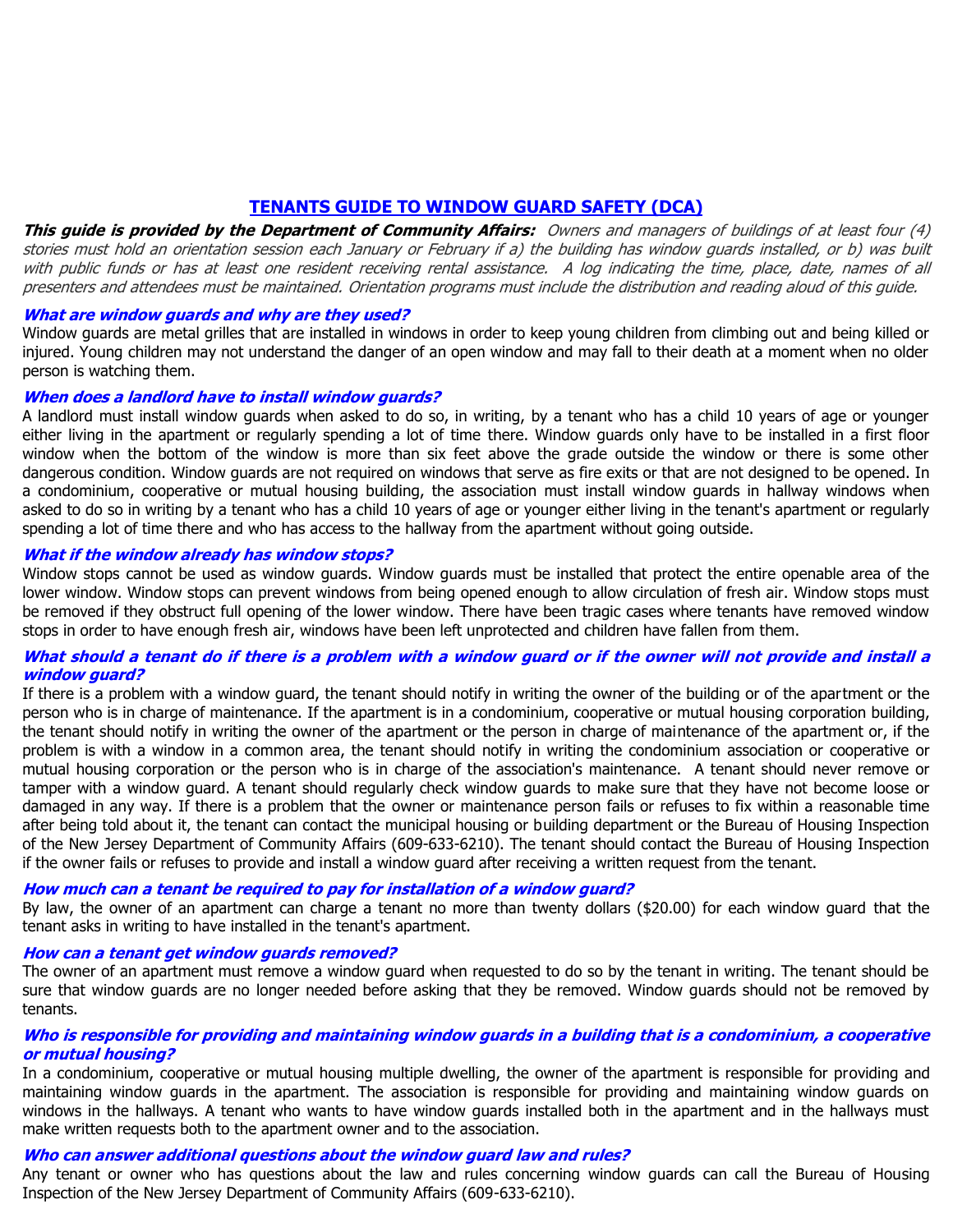# **TENANTS GUIDE TO WINDOW GUARD SAFETY (DCA)**

**This guide is provided by the Department of Community Affairs:** Owners and managers of buildings of at least four (4) stories must hold an orientation session each January or February if a) the building has window guards installed, or b) was built with public funds or has at least one resident receiving rental assistance. A log indicating the time, place, date, names of all presenters and attendees must be maintained. Orientation programs must include the distribution and reading aloud of this guide.

#### **What are window guards and why are they used?**

Window guards are metal grilles that are installed in windows in order to keep young children from climbing out and being killed or injured. Young children may not understand the danger of an open window and may fall to their death at a moment when no older person is watching them.

#### **When does a landlord have to install window guards?**

A landlord must install window guards when asked to do so, in writing, by a tenant who has a child 10 years of age or younger either living in the apartment or regularly spending a lot of time there. Window guards only have to be installed in a first floor window when the bottom of the window is more than six feet above the grade outside the window or there is some other dangerous condition. Window guards are not required on windows that serve as fire exits or that are not designed to be opened. In a condominium, cooperative or mutual housing building, the association must install window guards in hallway windows when asked to do so in writing by a tenant who has a child 10 years of age or younger either living in the tenant's apartment or regularly spending a lot of time there and who has access to the hallway from the apartment without going outside.

#### **What if the window already has window stops?**

Window stops cannot be used as window guards. Window guards must be installed that protect the entire openable area of the lower window. Window stops can prevent windows from being opened enough to allow circulation of fresh air. Window stops must be removed if they obstruct full opening of the lower window. There have been tragic cases where tenants have removed window stops in order to have enough fresh air, windows have been left unprotected and children have fallen from them.

#### **What should a tenant do if there is a problem with a window guard or if the owner will not provide and install a window guard?**

If there is a problem with a window guard, the tenant should notify in writing the owner of the building or of the apartment or the person who is in charge of maintenance. If the apartment is in a condominium, cooperative or mutual housing corporation building, the tenant should notify in writing the owner of the apartment or the person in charge of maintenance of the apartment or, if the problem is with a window in a common area, the tenant should notify in writing the condominium association or cooperative or mutual housing corporation or the person who is in charge of the association's maintenance. A tenant should never remove or tamper with a window guard. A tenant should regularly check window guards to make sure that they have not become loose or damaged in any way. If there is a problem that the owner or maintenance person fails or refuses to fix within a reasonable time after being told about it, the tenant can contact the municipal housing or building department or the Bureau of Housing Inspection of the New Jersey Department of Community Affairs (609-633-6210). The tenant should contact the Bureau of Housing Inspection if the owner fails or refuses to provide and install a window guard after receiving a written request from the tenant.

#### **How much can a tenant be required to pay for installation of a window guard?**

By law, the owner of an apartment can charge a tenant no more than twenty dollars (\$20.00) for each window guard that the tenant asks in writing to have installed in the tenant's apartment.

#### **How can a tenant get window guards removed?**

The owner of an apartment must remove a window guard when requested to do so by the tenant in writing. The tenant should be sure that window guards are no longer needed before asking that they be removed. Window guards should not be removed by tenants.

#### **Who is responsible for providing and maintaining window guards in a building that is a condominium, a cooperative or mutual housing?**

In a condominium, cooperative or mutual housing multiple dwelling, the owner of the apartment is responsible for providing and maintaining window guards in the apartment. The association is responsible for providing and maintaining window guards on windows in the hallways. A tenant who wants to have window guards installed both in the apartment and in the hallways must make written requests both to the apartment owner and to the association.

#### **Who can answer additional questions about the window guard law and rules?**

Any tenant or owner who has questions about the law and rules concerning window guards can call the Bureau of Housing Inspection of the New Jersey Department of Community Affairs (609-633-6210).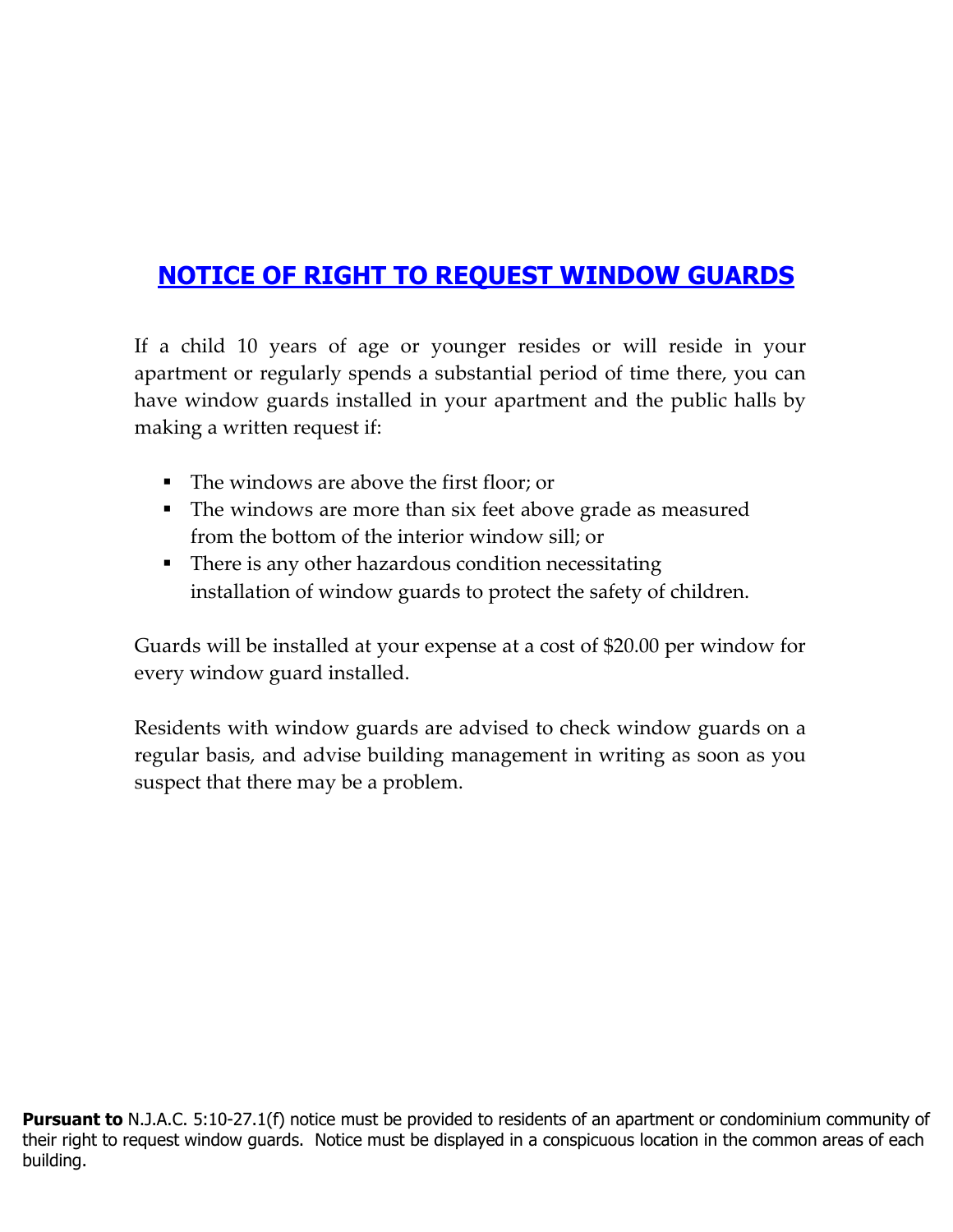# **NOTICE OF RIGHT TO REQUEST WINDOW GUARDS**

If a child 10 years of age or younger resides or will reside in your apartment or regularly spends a substantial period of time there, you can have window guards installed in your apartment and the public halls by making a written request if:

- The windows are above the first floor; or
- The windows are more than six feet above grade as measured from the bottom of the interior window sill; or
- There is any other hazardous condition necessitating installation of window guards to protect the safety of children.

Guards will be installed at your expense at a cost of \$20.00 per window for every window guard installed.

Residents with window guards are advised to check window guards on a regular basis, and advise building management in writing as soon as you suspect that there may be a problem.

**Pursuant to** N.J.A.C. 5:10-27.1(f) notice must be provided to residents of an apartment or condominium community of their right to request window guards. Notice must be displayed in a conspicuous location in the common areas of each building.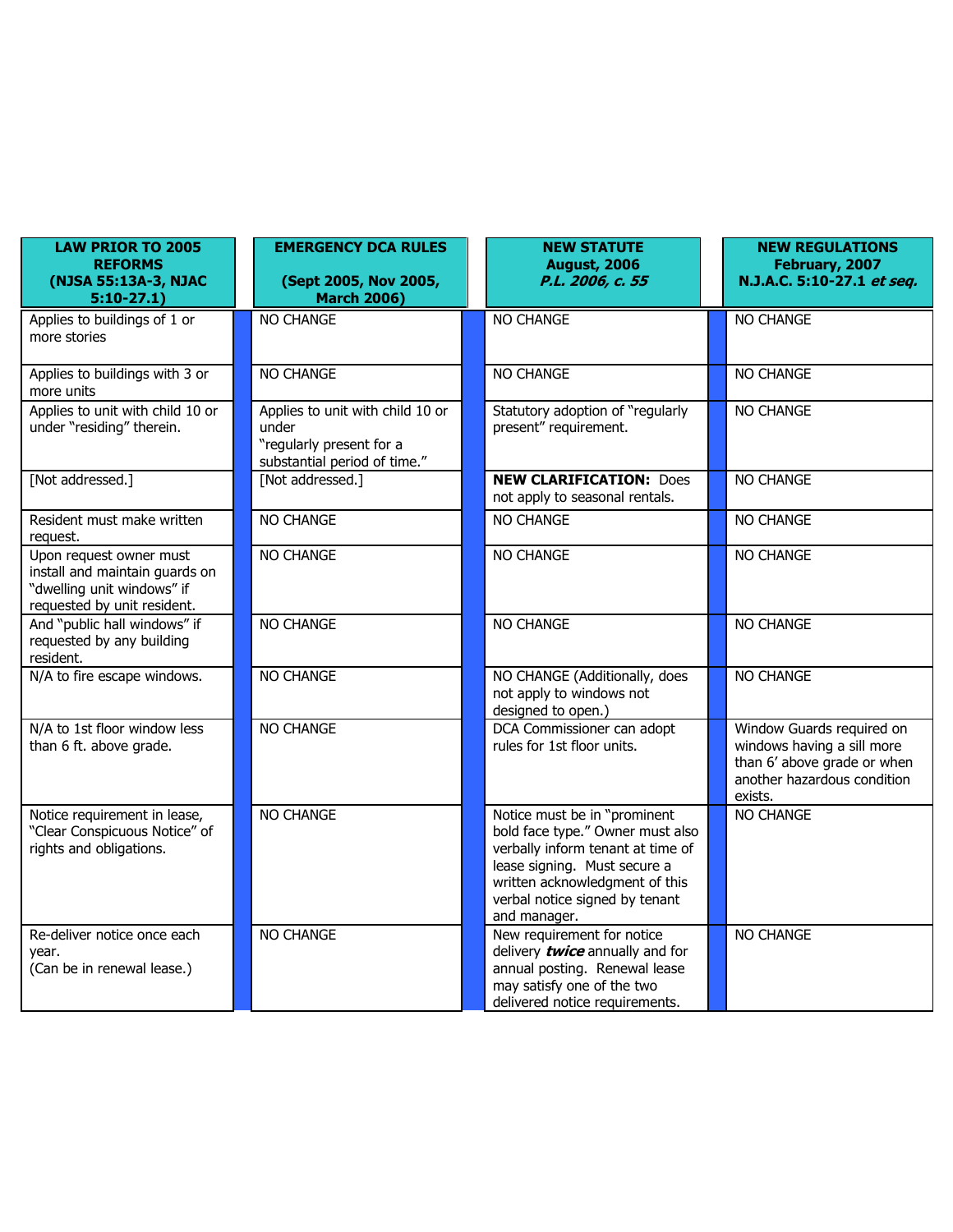| <b>LAW PRIOR TO 2005</b><br><b>REFORMS</b><br>(NJSA 55:13A-3, NJAC<br>$5:10-27.1$                                      | <b>EMERGENCY DCA RULES</b><br>(Sept 2005, Nov 2005,<br><b>March 2006)</b>                             | <b>NEW STATUTE</b><br><b>August, 2006</b><br>P.L. 2006, c. 55                                                                                                                                                             | <b>NEW REGULATIONS</b><br>February, 2007<br>N.J.A.C. 5:10-27.1 et seq.                                                           |
|------------------------------------------------------------------------------------------------------------------------|-------------------------------------------------------------------------------------------------------|---------------------------------------------------------------------------------------------------------------------------------------------------------------------------------------------------------------------------|----------------------------------------------------------------------------------------------------------------------------------|
| Applies to buildings of 1 or<br>more stories                                                                           | <b>NO CHANGE</b>                                                                                      | <b>NO CHANGE</b>                                                                                                                                                                                                          | <b>NO CHANGE</b>                                                                                                                 |
| Applies to buildings with 3 or<br>more units                                                                           | NO CHANGE                                                                                             | <b>NO CHANGE</b>                                                                                                                                                                                                          | NO CHANGE                                                                                                                        |
| Applies to unit with child 10 or<br>under "residing" therein.                                                          | Applies to unit with child 10 or<br>under<br>"regularly present for a<br>substantial period of time." | Statutory adoption of "regularly<br>present" requirement.                                                                                                                                                                 | NO CHANGE                                                                                                                        |
| [Not addressed.]                                                                                                       | [Not addressed.]                                                                                      | <b>NEW CLARIFICATION: Does</b><br>not apply to seasonal rentals.                                                                                                                                                          | NO CHANGE                                                                                                                        |
| Resident must make written<br>request.                                                                                 | NO CHANGE                                                                                             | NO CHANGE                                                                                                                                                                                                                 | NO CHANGE                                                                                                                        |
| Upon request owner must<br>install and maintain guards on<br>"dwelling unit windows" if<br>requested by unit resident. | NO CHANGE                                                                                             | <b>NO CHANGE</b>                                                                                                                                                                                                          | <b>NO CHANGE</b>                                                                                                                 |
| And "public hall windows" if<br>requested by any building<br>resident.                                                 | NO CHANGE                                                                                             | NO CHANGE                                                                                                                                                                                                                 | NO CHANGE                                                                                                                        |
| N/A to fire escape windows.                                                                                            | <b>NO CHANGE</b>                                                                                      | NO CHANGE (Additionally, does<br>not apply to windows not<br>designed to open.)                                                                                                                                           | NO CHANGE                                                                                                                        |
| N/A to 1st floor window less<br>than 6 ft. above grade.                                                                | NO CHANGE                                                                                             | DCA Commissioner can adopt<br>rules for 1st floor units.                                                                                                                                                                  | Window Guards required on<br>windows having a sill more<br>than 6' above grade or when<br>another hazardous condition<br>exists. |
| Notice requirement in lease,<br>"Clear Conspicuous Notice" of<br>rights and obligations.                               | NO CHANGE                                                                                             | Notice must be in "prominent<br>bold face type." Owner must also<br>verbally inform tenant at time of<br>lease signing. Must secure a<br>written acknowledgment of this<br>verbal notice signed by tenant<br>and manager. | NO CHANGE                                                                                                                        |
| Re-deliver notice once each<br>year.<br>(Can be in renewal lease.)                                                     | NO CHANGE                                                                                             | New requirement for notice<br>delivery <b>twice</b> annually and for<br>annual posting. Renewal lease<br>may satisfy one of the two<br>delivered notice requirements.                                                     | NO CHANGE                                                                                                                        |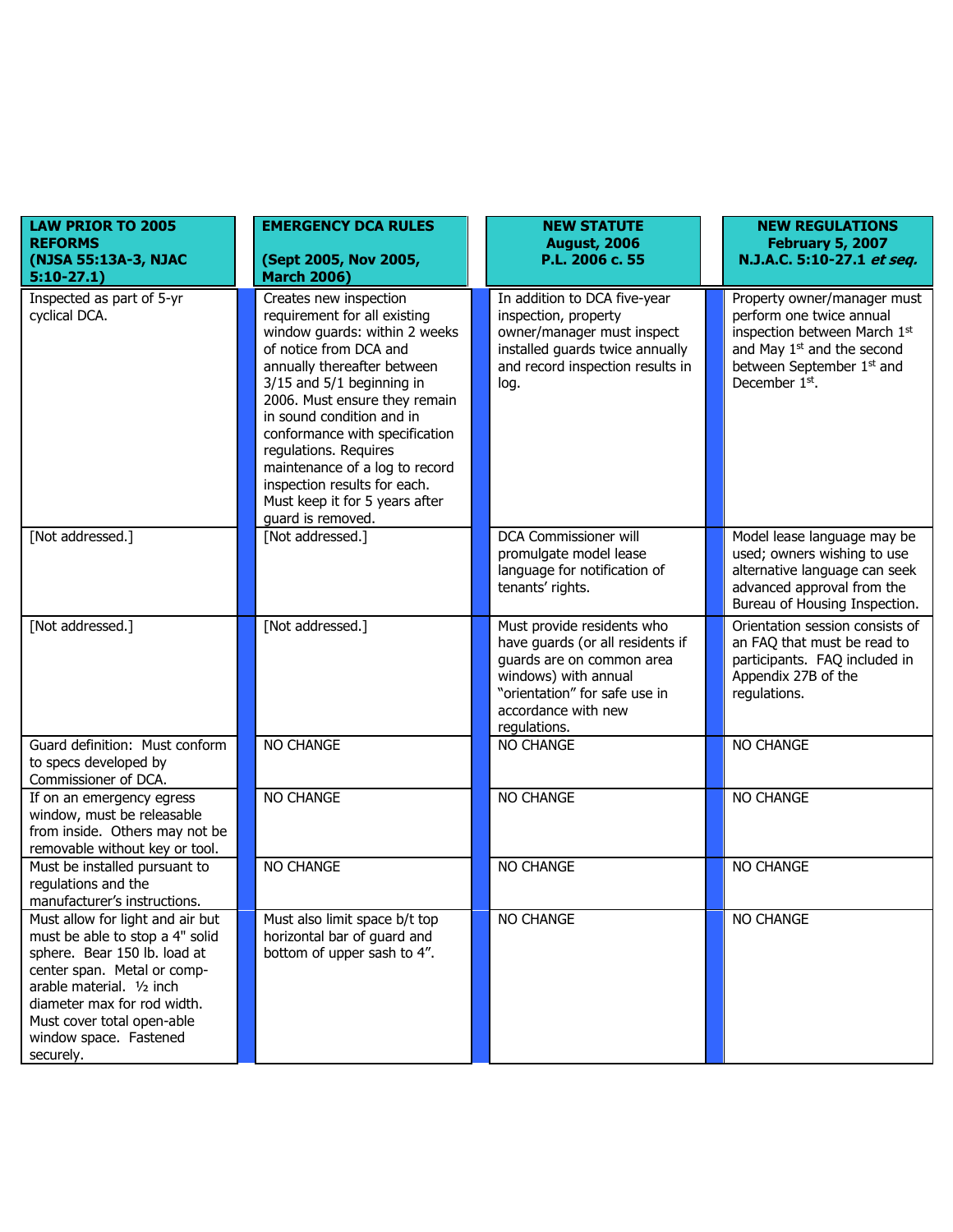| <b>LAW PRIOR TO 2005</b>                                                                                                                                                                                                                                            | <b>EMERGENCY DCA RULES</b>                                                                                                                                                                                                                                                                                                                                                                                                      | <b>NEW STATUTE</b>                                                                                                                                                                          | <b>NEW REGULATIONS</b>                                                                                                                                                          |
|---------------------------------------------------------------------------------------------------------------------------------------------------------------------------------------------------------------------------------------------------------------------|---------------------------------------------------------------------------------------------------------------------------------------------------------------------------------------------------------------------------------------------------------------------------------------------------------------------------------------------------------------------------------------------------------------------------------|---------------------------------------------------------------------------------------------------------------------------------------------------------------------------------------------|---------------------------------------------------------------------------------------------------------------------------------------------------------------------------------|
| <b>REFORMS</b><br>(NJSA 55:13A-3, NJAC<br>$5:10-27.1$                                                                                                                                                                                                               | (Sept 2005, Nov 2005,<br><b>March 2006)</b>                                                                                                                                                                                                                                                                                                                                                                                     | <b>August, 2006</b><br>P.L. 2006 c. 55                                                                                                                                                      | <b>February 5, 2007</b><br>N.J.A.C. 5:10-27.1 et seq.                                                                                                                           |
| Inspected as part of 5-yr<br>cyclical DCA.                                                                                                                                                                                                                          | Creates new inspection<br>requirement for all existing<br>window guards: within 2 weeks<br>of notice from DCA and<br>annually thereafter between<br>3/15 and 5/1 beginning in<br>2006. Must ensure they remain<br>in sound condition and in<br>conformance with specification<br>regulations. Requires<br>maintenance of a log to record<br>inspection results for each.<br>Must keep it for 5 years after<br>quard is removed. | In addition to DCA five-year<br>inspection, property<br>owner/manager must inspect<br>installed guards twice annually<br>and record inspection results in<br>log.                           | Property owner/manager must<br>perform one twice annual<br>inspection between March 1st<br>and May 1 <sup>st</sup> and the second<br>between September 1st and<br>December 1st. |
| [Not addressed.]                                                                                                                                                                                                                                                    | [Not addressed.]                                                                                                                                                                                                                                                                                                                                                                                                                | DCA Commissioner will<br>promulgate model lease<br>language for notification of<br>tenants' rights.                                                                                         | Model lease language may be<br>used; owners wishing to use<br>alternative language can seek<br>advanced approval from the<br>Bureau of Housing Inspection.                      |
| [Not addressed.]                                                                                                                                                                                                                                                    | [Not addressed.]                                                                                                                                                                                                                                                                                                                                                                                                                | Must provide residents who<br>have guards (or all residents if<br>guards are on common area<br>windows) with annual<br>"orientation" for safe use in<br>accordance with new<br>regulations. | Orientation session consists of<br>an FAQ that must be read to<br>participants. FAQ included in<br>Appendix 27B of the<br>regulations.                                          |
| Guard definition: Must conform<br>to specs developed by<br>Commissioner of DCA.                                                                                                                                                                                     | NO CHANGE                                                                                                                                                                                                                                                                                                                                                                                                                       | <b>NO CHANGE</b>                                                                                                                                                                            | NO CHANGE                                                                                                                                                                       |
| If on an emergency egress<br>window, must be releasable<br>from inside. Others may not be<br>removable without key or tool.                                                                                                                                         | NO CHANGE                                                                                                                                                                                                                                                                                                                                                                                                                       | NO CHANGE                                                                                                                                                                                   | NO CHANGE                                                                                                                                                                       |
| Must be installed pursuant to<br>regulations and the<br>manufacturer's instructions.                                                                                                                                                                                | NO CHANGE                                                                                                                                                                                                                                                                                                                                                                                                                       | NO CHANGE                                                                                                                                                                                   | NO CHANGE                                                                                                                                                                       |
| Must allow for light and air but<br>must be able to stop a 4" solid<br>sphere. Bear 150 lb. load at<br>center span. Metal or comp-<br>arable material. 1/2 inch<br>diameter max for rod width.<br>Must cover total open-able<br>window space. Fastened<br>securely. | Must also limit space b/t top<br>horizontal bar of guard and<br>bottom of upper sash to 4".                                                                                                                                                                                                                                                                                                                                     | NO CHANGE                                                                                                                                                                                   | NO CHANGE                                                                                                                                                                       |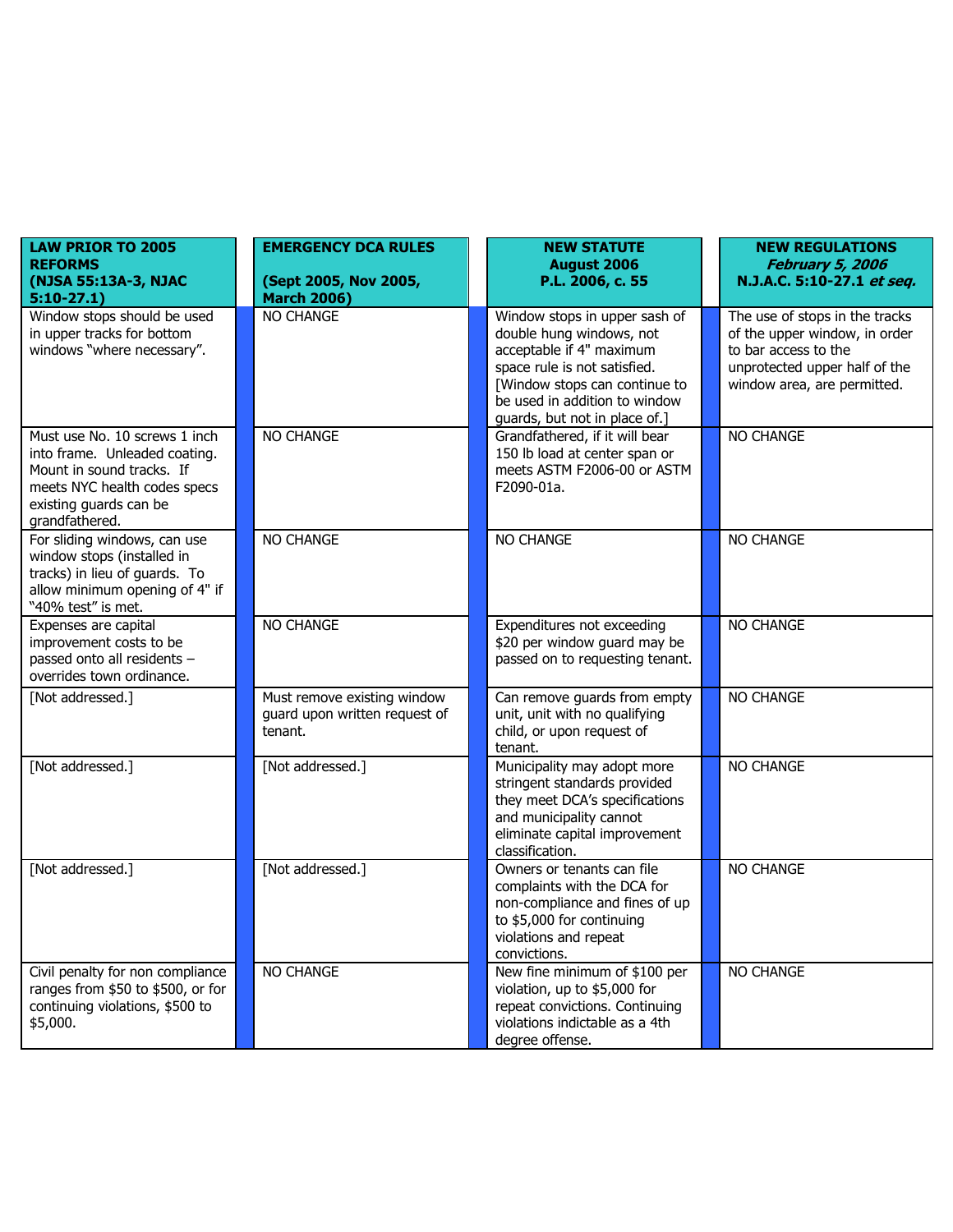| <b>LAW PRIOR TO 2005</b><br><b>REFORMS</b><br>(NJSA 55:13A-3, NJAC<br>$5:10-27.1)$                                                                                      | <b>EMERGENCY DCA RULES</b><br>(Sept 2005, Nov 2005,<br><b>March 2006)</b> | <b>NEW STATUTE</b><br><b>August 2006</b><br>P.L. 2006, c. 55                                                                                                                                                             | <b>NEW REGULATIONS</b><br><b>February 5, 2006</b><br>N.J.A.C. 5:10-27.1 et seq.                                                                         |
|-------------------------------------------------------------------------------------------------------------------------------------------------------------------------|---------------------------------------------------------------------------|--------------------------------------------------------------------------------------------------------------------------------------------------------------------------------------------------------------------------|---------------------------------------------------------------------------------------------------------------------------------------------------------|
| Window stops should be used<br>in upper tracks for bottom<br>windows "where necessary".                                                                                 | NO CHANGE                                                                 | Window stops in upper sash of<br>double hung windows, not<br>acceptable if 4" maximum<br>space rule is not satisfied.<br>[Window stops can continue to<br>be used in addition to window<br>guards, but not in place of.] | The use of stops in the tracks<br>of the upper window, in order<br>to bar access to the<br>unprotected upper half of the<br>window area, are permitted. |
| Must use No. 10 screws 1 inch<br>into frame. Unleaded coating.<br>Mount in sound tracks. If<br>meets NYC health codes specs<br>existing guards can be<br>grandfathered. | NO CHANGE                                                                 | Grandfathered, if it will bear<br>150 lb load at center span or<br>meets ASTM F2006-00 or ASTM<br>F2090-01a.                                                                                                             | NO CHANGE                                                                                                                                               |
| For sliding windows, can use<br>window stops (installed in<br>tracks) in lieu of guards. To<br>allow minimum opening of 4" if<br>"40% test" is met.                     | NO CHANGE                                                                 | NO CHANGE                                                                                                                                                                                                                | NO CHANGE                                                                                                                                               |
| Expenses are capital<br>improvement costs to be<br>passed onto all residents -<br>overrides town ordinance.                                                             | NO CHANGE                                                                 | Expenditures not exceeding<br>\$20 per window guard may be<br>passed on to requesting tenant.                                                                                                                            | NO CHANGE                                                                                                                                               |
| [Not addressed.]                                                                                                                                                        | Must remove existing window<br>guard upon written request of<br>tenant.   | Can remove guards from empty<br>unit, unit with no qualifying<br>child, or upon request of<br>tenant.                                                                                                                    | NO CHANGE                                                                                                                                               |
| [Not addressed.]                                                                                                                                                        | [Not addressed.]                                                          | Municipality may adopt more<br>stringent standards provided<br>they meet DCA's specifications<br>and municipality cannot<br>eliminate capital improvement<br>classification.                                             | NO CHANGE                                                                                                                                               |
| [Not addressed.]                                                                                                                                                        | [Not addressed.]                                                          | Owners or tenants can file<br>complaints with the DCA for<br>non-compliance and fines of up<br>to \$5,000 for continuing<br>violations and repeat<br>convictions.                                                        | NO CHANGE                                                                                                                                               |
| Civil penalty for non compliance<br>ranges from \$50 to \$500, or for<br>continuing violations, \$500 to<br>\$5,000.                                                    | NO CHANGE                                                                 | New fine minimum of \$100 per<br>violation, up to \$5,000 for<br>repeat convictions. Continuing<br>violations indictable as a 4th<br>degree offense.                                                                     | NO CHANGE                                                                                                                                               |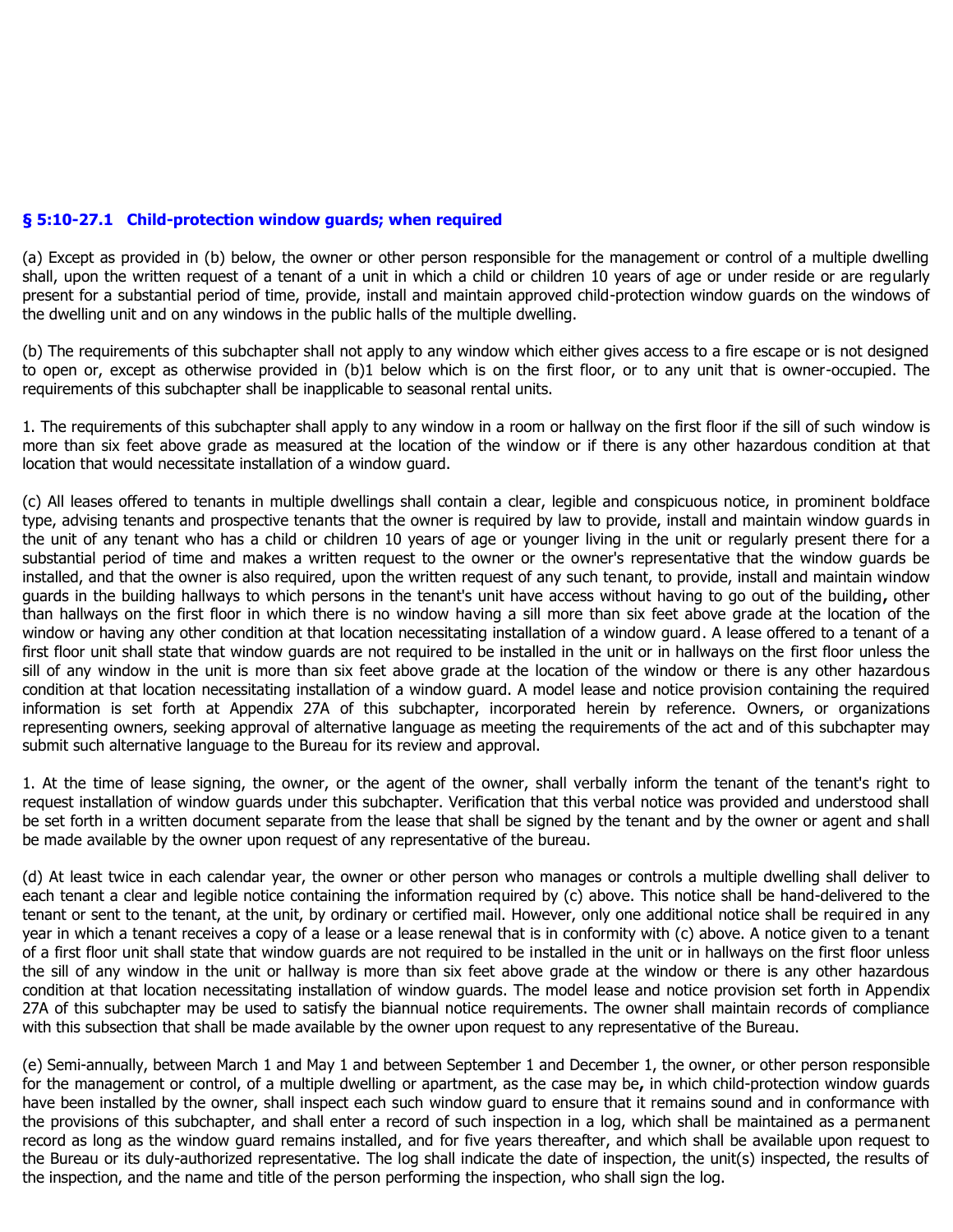#### **§ 5:10-27.1 Child-protection window guards; when required**

(a) Except as provided in (b) below, the owner or other person responsible for the management or control of a multiple dwelling shall, upon the written request of a tenant of a unit in which a child or children 10 years of age or under reside or are regularly present for a substantial period of time, provide, install and maintain approved child-protection window guards on the windows of the dwelling unit and on any windows in the public halls of the multiple dwelling.

(b) The requirements of this subchapter shall not apply to any window which either gives access to a fire escape or is not designed to open or, except as otherwise provided in (b)1 below which is on the first floor, or to any unit that is owner-occupied. The requirements of this subchapter shall be inapplicable to seasonal rental units.

1. The requirements of this subchapter shall apply to any window in a room or hallway on the first floor if the sill of such window is more than six feet above grade as measured at the location of the window or if there is any other hazardous condition at that location that would necessitate installation of a window guard.

(c) All leases offered to tenants in multiple dwellings shall contain a clear, legible and conspicuous notice, in prominent boldface type, advising tenants and prospective tenants that the owner is required by law to provide, install and maintain window guards in the unit of any tenant who has a child or children 10 years of age or younger living in the unit or regularly present there for a substantial period of time and makes a written request to the owner or the owner's representative that the window guards be installed, and that the owner is also required, upon the written request of any such tenant, to provide, install and maintain window guards in the building hallways to which persons in the tenant's unit have access without having to go out of the building**,** other than hallways on the first floor in which there is no window having a sill more than six feet above grade at the location of the window or having any other condition at that location necessitating installation of a window guard. A lease offered to a tenant of a first floor unit shall state that window guards are not required to be installed in the unit or in hallways on the first floor unless the sill of any window in the unit is more than six feet above grade at the location of the window or there is any other hazardous condition at that location necessitating installation of a window guard. A model lease and notice provision containing the required information is set forth at Appendix 27A of this subchapter, incorporated herein by reference. Owners, or organizations representing owners, seeking approval of alternative language as meeting the requirements of the act and of this subchapter may submit such alternative language to the Bureau for its review and approval.

1. At the time of lease signing, the owner, or the agent of the owner, shall verbally inform the tenant of the tenant's right to request installation of window guards under this subchapter. Verification that this verbal notice was provided and understood shall be set forth in a written document separate from the lease that shall be signed by the tenant and by the owner or agent and shall be made available by the owner upon request of any representative of the bureau.

(d) At least twice in each calendar year, the owner or other person who manages or controls a multiple dwelling shall deliver to each tenant a clear and legible notice containing the information required by (c) above. This notice shall be hand-delivered to the tenant or sent to the tenant, at the unit, by ordinary or certified mail. However, only one additional notice shall be required in any year in which a tenant receives a copy of a lease or a lease renewal that is in conformity with (c) above. A notice given to a tenant of a first floor unit shall state that window guards are not required to be installed in the unit or in hallways on the first floor unless the sill of any window in the unit or hallway is more than six feet above grade at the window or there is any other hazardous condition at that location necessitating installation of window guards. The model lease and notice provision set forth in Appendix 27A of this subchapter may be used to satisfy the biannual notice requirements. The owner shall maintain records of compliance with this subsection that shall be made available by the owner upon request to any representative of the Bureau.

(e) Semi-annually, between March 1 and May 1 and between September 1 and December 1, the owner, or other person responsible for the management or control, of a multiple dwelling or apartment, as the case may be**,** in which child-protection window guards have been installed by the owner, shall inspect each such window guard to ensure that it remains sound and in conformance with the provisions of this subchapter, and shall enter a record of such inspection in a log, which shall be maintained as a permanent record as long as the window guard remains installed, and for five years thereafter, and which shall be available upon request to the Bureau or its duly-authorized representative. The log shall indicate the date of inspection, the unit(s) inspected, the results of the inspection, and the name and title of the person performing the inspection, who shall sign the log.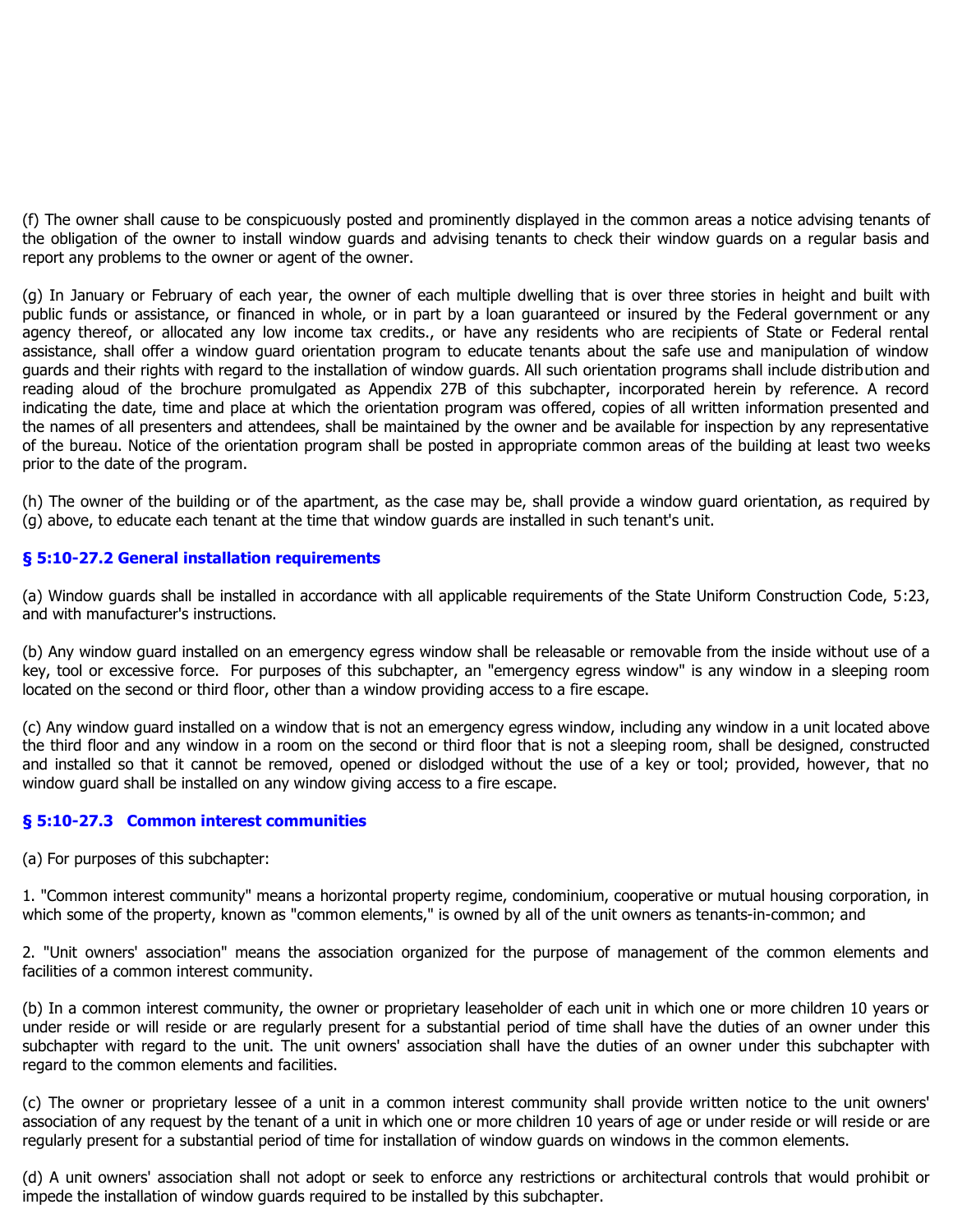(f) The owner shall cause to be conspicuously posted and prominently displayed in the common areas a notice advising tenants of the obligation of the owner to install window guards and advising tenants to check their window guards on a regular basis and report any problems to the owner or agent of the owner.

(g) In January or February of each year, the owner of each multiple dwelling that is over three stories in height and built with public funds or assistance, or financed in whole, or in part by a loan guaranteed or insured by the Federal government or any agency thereof, or allocated any low income tax credits., or have any residents who are recipients of State or Federal rental assistance, shall offer a window guard orientation program to educate tenants about the safe use and manipulation of window guards and their rights with regard to the installation of window guards. All such orientation programs shall include distribution and reading aloud of the brochure promulgated as Appendix 27B of this subchapter, incorporated herein by reference. A record indicating the date, time and place at which the orientation program was offered, copies of all written information presented and the names of all presenters and attendees, shall be maintained by the owner and be available for inspection by any representative of the bureau. Notice of the orientation program shall be posted in appropriate common areas of the building at least two weeks prior to the date of the program.

(h) The owner of the building or of the apartment, as the case may be, shall provide a window guard orientation, as required by (g) above, to educate each tenant at the time that window guards are installed in such tenant's unit.

#### **§ 5:10-27.2 General installation requirements**

(a) Window guards shall be installed in accordance with all applicable requirements of the State Uniform Construction Code, 5:23, and with manufacturer's instructions.

(b) Any window guard installed on an emergency egress window shall be releasable or removable from the inside without use of a key, tool or excessive force. For purposes of this subchapter, an "emergency egress window" is any window in a sleeping room located on the second or third floor, other than a window providing access to a fire escape.

(c) Any window guard installed on a window that is not an emergency egress window, including any window in a unit located above the third floor and any window in a room on the second or third floor that is not a sleeping room, shall be designed, constructed and installed so that it cannot be removed, opened or dislodged without the use of a key or tool; provided, however, that no window guard shall be installed on any window giving access to a fire escape.

#### **§ 5:10-27.3 Common interest communities**

(a) For purposes of this subchapter:

1. "Common interest community" means a horizontal property regime, condominium, cooperative or mutual housing corporation, in which some of the property, known as "common elements," is owned by all of the unit owners as tenants-in-common; and

2. "Unit owners' association" means the association organized for the purpose of management of the common elements and facilities of a common interest community.

(b) In a common interest community, the owner or proprietary leaseholder of each unit in which one or more children 10 years or under reside or will reside or are regularly present for a substantial period of time shall have the duties of an owner under this subchapter with regard to the unit. The unit owners' association shall have the duties of an owner under this subchapter with regard to the common elements and facilities.

(c) The owner or proprietary lessee of a unit in a common interest community shall provide written notice to the unit owners' association of any request by the tenant of a unit in which one or more children 10 years of age or under reside or will reside or are regularly present for a substantial period of time for installation of window guards on windows in the common elements.

(d) A unit owners' association shall not adopt or seek to enforce any restrictions or architectural controls that would prohibit or impede the installation of window guards required to be installed by this subchapter.